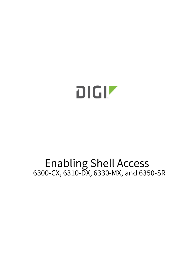

# Enabling Shell Access 6300-CX, 6310-DX, 6330-MX, and 6350-SR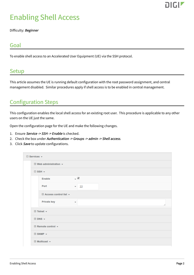

## Enabling Shell Access

Difficulty: Beginner

#### Goal

To enable shell access to an Accelerated User Equipment (UE) via the SSH protocol.

#### **Setup**

This article assumes the UE is running default configuration with the root password assignment, and central management disabled. Similar procedures apply if shell access is to be enabled in central management.

### Configuration Steps

This configuration enables the local shell access for an existing root user. This procedure is applicable to any other users on the UE just the same.

Open the configuration page for the UE and make the following changes.

- 1. Ensure Service -> SSH -> Enable is checked.
- 2. Check the box under Authentication -> Groups -> admin -> Shell access.
- 3. Click Save to update configurations.

| $\boxminus$ Services $\star$ |                                   |                                                |                          |  |   |  |  |
|------------------------------|-----------------------------------|------------------------------------------------|--------------------------|--|---|--|--|
|                              |                                   | <b>⊞ Web administration <math>\star</math></b> |                          |  |   |  |  |
|                              |                                   | $\Box$ SSH $\star$                             |                          |  |   |  |  |
|                              |                                   | <b>Enable</b>                                  | $\overline{\mathscr{L}}$ |  |   |  |  |
|                              |                                   | Port                                           | 22<br>$\mathbf{v}$       |  |   |  |  |
|                              |                                   | <b>⊞ Access control list +</b>                 |                          |  |   |  |  |
|                              |                                   | <b>Private key</b>                             | $\overline{\mathbf{v}}$  |  | 4 |  |  |
|                              |                                   | $\boxplus$ Telnet $\star$                      |                          |  |   |  |  |
|                              |                                   | $\boxplus$ DNS $\star$                         |                          |  |   |  |  |
|                              | $\boxplus$ Remote control $\star$ |                                                |                          |  |   |  |  |
|                              |                                   |                                                |                          |  |   |  |  |
|                              | $\boxplus$ Multicast $\star$      |                                                |                          |  |   |  |  |
|                              |                                   |                                                |                          |  |   |  |  |